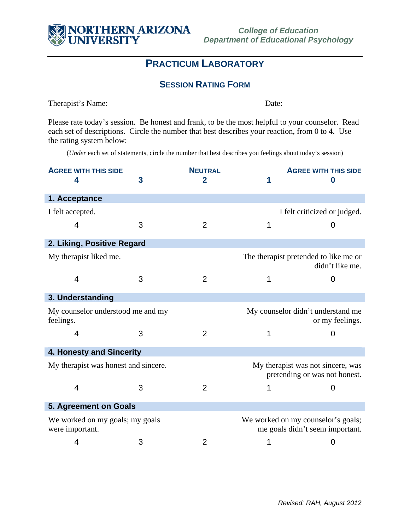

## **PRACTICUM LABORATORY**

## **SESSION RATING FORM**

Therapist's Name: Date: Date:

Please rate today's session. Be honest and frank, to be the most helpful to your counselor. Read each set of descriptions. Circle the number that best describes your reaction, from 0 to 4. Use the rating system below:

(*Under* each set of statements, circle the number that best describes you feelings about today's session)

| <b>AGREE WITH THIS SIDE</b><br>4                   | 3 | <b>NEUTRAL</b><br>2 |                                                                       | <b>AGREE WITH THIS SIDE</b><br>O                     |  |  |  |
|----------------------------------------------------|---|---------------------|-----------------------------------------------------------------------|------------------------------------------------------|--|--|--|
|                                                    |   |                     |                                                                       |                                                      |  |  |  |
| 1. Acceptance                                      |   |                     |                                                                       |                                                      |  |  |  |
| I felt accepted.                                   |   |                     |                                                                       | I felt criticized or judged.                         |  |  |  |
| 4                                                  | 3 | $\overline{2}$      | 1                                                                     | 0                                                    |  |  |  |
| 2. Liking, Positive Regard                         |   |                     |                                                                       |                                                      |  |  |  |
| My therapist liked me.                             |   |                     | The therapist pretended to like me or<br>didn't like me.              |                                                      |  |  |  |
| $\overline{4}$                                     | 3 | $\overline{2}$      |                                                                       | 0                                                    |  |  |  |
| 3. Understanding                                   |   |                     |                                                                       |                                                      |  |  |  |
| My counselor understood me and my<br>feelings.     |   |                     |                                                                       | My counselor didn't understand me<br>or my feelings. |  |  |  |
| 4                                                  | 3 | $\overline{2}$      |                                                                       | 0                                                    |  |  |  |
| 4. Honesty and Sincerity                           |   |                     |                                                                       |                                                      |  |  |  |
| My therapist was honest and sincere.               |   |                     | My therapist was not sincere, was<br>pretending or was not honest.    |                                                      |  |  |  |
| 4                                                  | 3 | $\overline{2}$      |                                                                       | 0                                                    |  |  |  |
| 5. Agreement on Goals                              |   |                     |                                                                       |                                                      |  |  |  |
| We worked on my goals; my goals<br>were important. |   |                     | We worked on my counselor's goals;<br>me goals didn't seem important. |                                                      |  |  |  |
| 4                                                  | 3 | 2                   | 1                                                                     | 0                                                    |  |  |  |